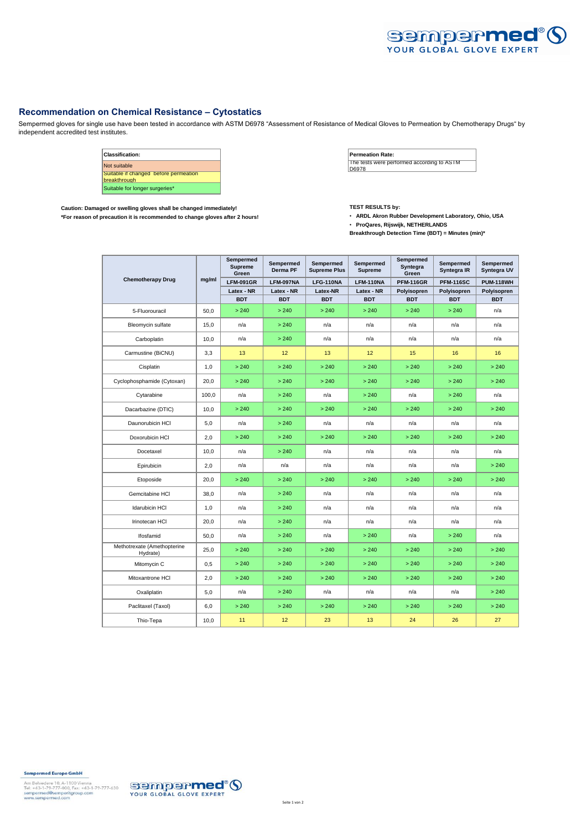

## **Recommendation on Chemical Resistance – Cytostatics**

Sempermed gloves for single use have been tested in accordance with ASTM D6978 "Assessment of Resistance of Medical Gloves to Permeation by Chemotherapy Drugs" by independent accredited test institutes.



Caution: Damaged or swelling gloves shall be changed immediately!<br>\*For reason of precaution it is recommended to change gloves after 2 hours! **TEST RESULTS https://web/2010/2010**<br>\*For reason of precaution it is recommended \*For reason of precaution it is recommended to change gloves after 2 hours!

• **ProQares, Rijswijk, NETHERLANDS**

**Breakthrough Detection Time (BDT) = Minutes (min)\***

| <b>Chemotherapy Drug</b>                | mg/ml | Sempermed<br><b>Supreme</b><br>Green | Sempermed<br>Derma PF | Sempermed<br><b>Supreme Plus</b> | Sempermed<br><b>Supreme</b> | Sempermed<br>Syntegra<br>Green | Sempermed<br>Syntegra IR | Sempermed<br>Syntegra UV |
|-----------------------------------------|-------|--------------------------------------|-----------------------|----------------------------------|-----------------------------|--------------------------------|--------------------------|--------------------------|
|                                         |       | <b>LFM-091GR</b>                     | LFM-097NA             | <b>LFG-110NA</b>                 | <b>LFM-110NA</b>            | <b>PFM-116GR</b>               | <b>PFM-116SC</b>         | <b>PUM-118WH</b>         |
|                                         |       | Latex - NR                           | Latex - NR            | Latex-NR                         | Latex - NR                  | Polyisopren                    | Polyisopren              | Polyisopren              |
|                                         |       | <b>BDT</b>                           | <b>BDT</b>            | <b>BDT</b>                       | <b>BDT</b>                  | <b>BDT</b>                     | <b>BDT</b>               | <b>BDT</b>               |
| 5-Fluorouracil                          | 50,0  | > 240                                | > 240                 | > 240                            | > 240                       | > 240                          | > 240                    | n/a                      |
| Bleomycin sulfate                       | 15,0  | n/a                                  | > 240                 | n/a                              | n/a                         | n/a                            | n/a                      | n/a                      |
| Carboplatin                             | 10.0  | n/a                                  | > 240                 | n/a                              | n/a                         | n/a                            | n/a                      | n/a                      |
| Carmustine (BiCNU)                      | 3,3   | 13                                   | 12                    | 13                               | 12                          | 15                             | 16                       | 16                       |
| Cisplatin                               | 1,0   | > 240                                | > 240                 | > 240                            | > 240                       | > 240                          | > 240                    | > 240                    |
| Cyclophosphamide (Cytoxan)              | 20,0  | > 240                                | > 240                 | > 240                            | > 240                       | > 240                          | > 240                    | > 240                    |
| Cytarabine                              | 100,0 | n/a                                  | > 240                 | n/a                              | > 240                       | n/a                            | > 240                    | n/a                      |
| Dacarbazine (DTIC)                      | 10,0  | > 240                                | > 240                 | > 240                            | > 240                       | > 240                          | > 240                    | > 240                    |
| Daunorubicin HCI                        | 5,0   | n/a                                  | > 240                 | n/a                              | n/a                         | n/a                            | n/a                      | n/a                      |
| Doxorubicin HCI                         | 2,0   | > 240                                | > 240                 | > 240                            | > 240                       | > 240                          | > 240                    | > 240                    |
| Docetaxel                               | 10.0  | n/a                                  | > 240                 | n/a                              | n/a                         | n/a                            | n/a                      | n/a                      |
| Epirubicin                              | 2,0   | n/a                                  | n/a                   | n/a                              | n/a                         | n/a                            | n/a                      | > 240                    |
| Etoposide                               | 20,0  | > 240                                | > 240                 | > 240                            | > 240                       | > 240                          | > 240                    | > 240                    |
| Gemcitabine HCI                         | 38,0  | n/a                                  | > 240                 | n/a                              | n/a                         | n/a                            | n/a                      | n/a                      |
| <b>Idarubicin HCI</b>                   | 1,0   | n/a                                  | > 240                 | n/a                              | n/a                         | n/a                            | n/a                      | n/a                      |
| Irinotecan HCI                          | 20,0  | n/a                                  | > 240                 | n/a                              | n/a                         | n/a                            | n/a                      | n/a                      |
| Ifosfamid                               | 50,0  | n/a                                  | > 240                 | n/a                              | > 240                       | n/a                            | > 240                    | n/a                      |
| Methotrexate (Amethopterine<br>Hydrate) | 25,0  | > 240                                | > 240                 | > 240                            | > 240                       | > 240                          | > 240                    | > 240                    |
| Mitomycin C                             | 0,5   | > 240                                | > 240                 | > 240                            | > 240                       | > 240                          | > 240                    | > 240                    |
| Mitoxantrone HCI                        | 2,0   | > 240                                | > 240                 | > 240                            | > 240                       | > 240                          | > 240                    | > 240                    |
| Oxaliplatin                             | 5,0   | n/a                                  | > 240                 | n/a                              | n/a                         | n/a                            | n/a                      | > 240                    |
| Paclitaxel (Taxol)                      | 6,0   | > 240                                | > 240                 | > 240                            | > 240                       | > 240                          | > 240                    | > 240                    |
| Thio-Tepa                               | 10,0  | 11                                   | 12                    | 23                               | 13                          | 24                             | 26                       | 27                       |

## Sempermed Europe GmbH